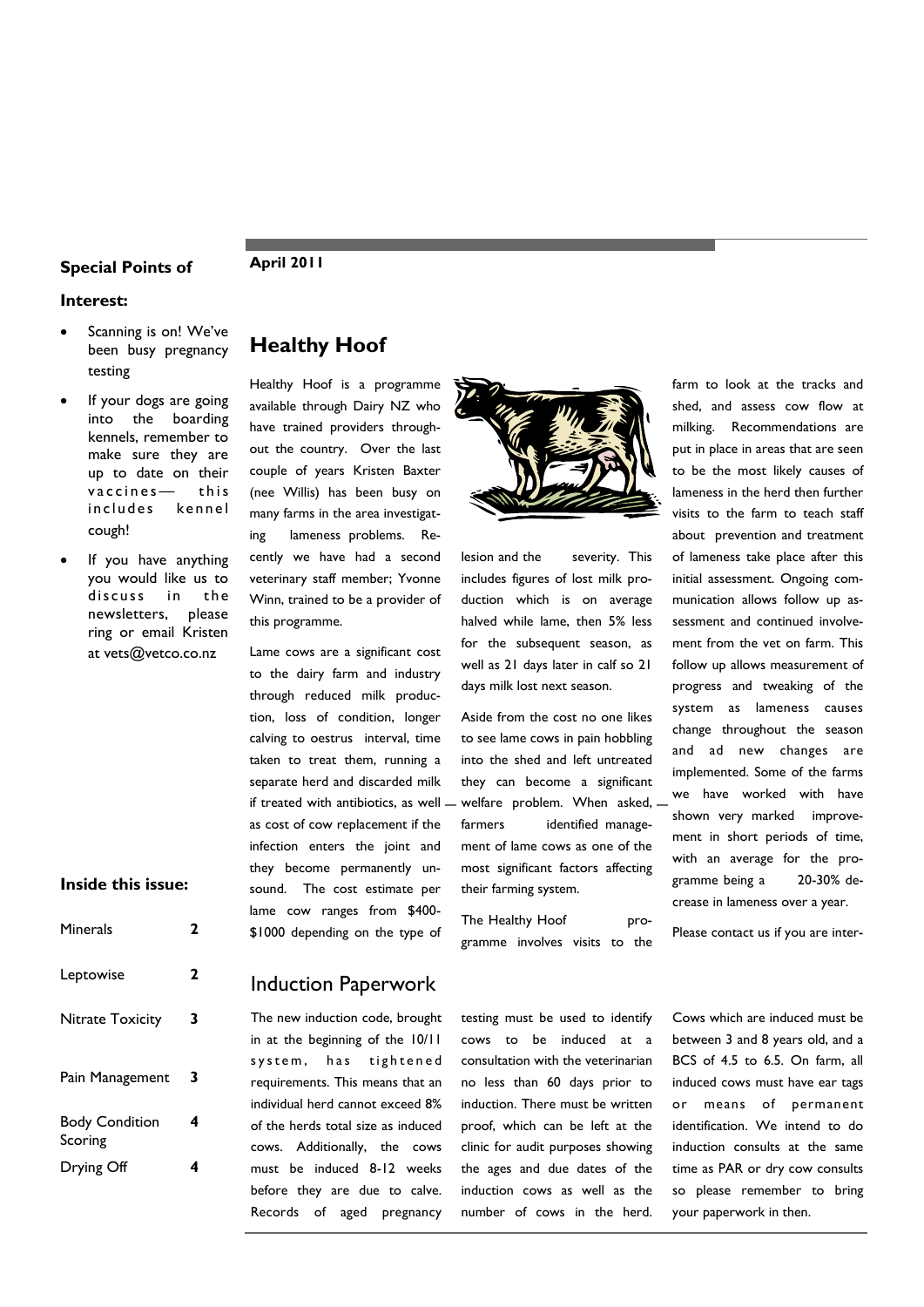### **Special Points of Famil 2011**

#### **Interest:**

- Scanning is on! We've been busy pregnancy testing
- If your dogs are going into the boarding kennels, remember to make sure they are up to date on their vaccines — this includes kennel cough!
- If you have anything you would like us to discuss in the newsletters, please ring or email Kristen at vets@vetco.co.nz

#### **Inside this issue: Inside this issue:**

| Minerals                         | 2 |
|----------------------------------|---|
| Leptowise                        | 2 |
| Nitrate Toxicity                 | 3 |
| Pain Management                  | 3 |
| <b>Body Condition</b><br>Scoring | 4 |
| Drying Off                       |   |

# **Healthy Hoof**

Healthy Hoof is a programme available through Dairy NZ who have trained providers throughout the country. Over the last couple of years Kristen Baxter (nee Willis) has been busy on many farms in the area investigating lameness problems. Recently we have had a second veterinary staff member; Yvonne Winn, trained to be a provider of this programme.

Lame cows are a significant cost to the dairy farm and industry through reduced milk production, loss of condition, longer calving to oestrus interval, time taken to treat them, running a separate herd and discarded milk if treated with antibiotics, as well as cost of cow replacement if the infection enters the joint and they become permanently unsound. The cost estimate per lame cow ranges from \$400- \$1000 depending on the type of

The new induction code, brought in at the beginning of the 10/11 system, has tightened requirements. This means that an individual herd cannot exceed 8% of the herds total size as induced cows. Additionally, the cows must be induced 8-12 weeks before they are due to calve. Records of aged pregnancy

Induction Paperwork

lesion and the severity. This includes figures of lost milk production which is on average halved while lame, then 5% less for the subsequent season, as well as 21 days later in calf so 21 days milk lost next season.

Aside from the cost no one likes to see lame cows in pain hobbling into the shed and left untreated they can become a significant welfare problem. When asked, farmers identified management of lame cows as one of the most significant factors affecting their farming system.

The Healthy Hoof programme involves visits to the

testing must be used to identify cows to be induced at a consultation with the veterinarian no less than 60 days prior to induction. There must be written proof, which can be left at the clinic for audit purposes showing the ages and due dates of the induction cows as well as the number of cows in the herd.

farm to look at the tracks and shed, and assess cow flow at milking. Recommendations are put in place in areas that are seen to be the most likely causes of lameness in the herd then further visits to the farm to teach staff about prevention and treatment of lameness take place after this initial assessment. Ongoing communication allows follow up assessment and continued involvement from the vet on farm. This follow up allows measurement of progress and tweaking of the system as lameness causes change throughout the season and ad new changes are implemented. Some of the farms we have worked with have shown very marked improvement in short periods of time, with an average for the programme being a 20-30% decrease in lameness over a year.

Please contact us if you are inter-

Cows which are induced must be between 3 and 8 years old, and a BCS of 4.5 to 6.5. On farm, all induced cows must have ear tags or means of permanent identification. We intend to do induction consults at the same time as PAR or dry cow consults so please remember to bring your paperwork in then.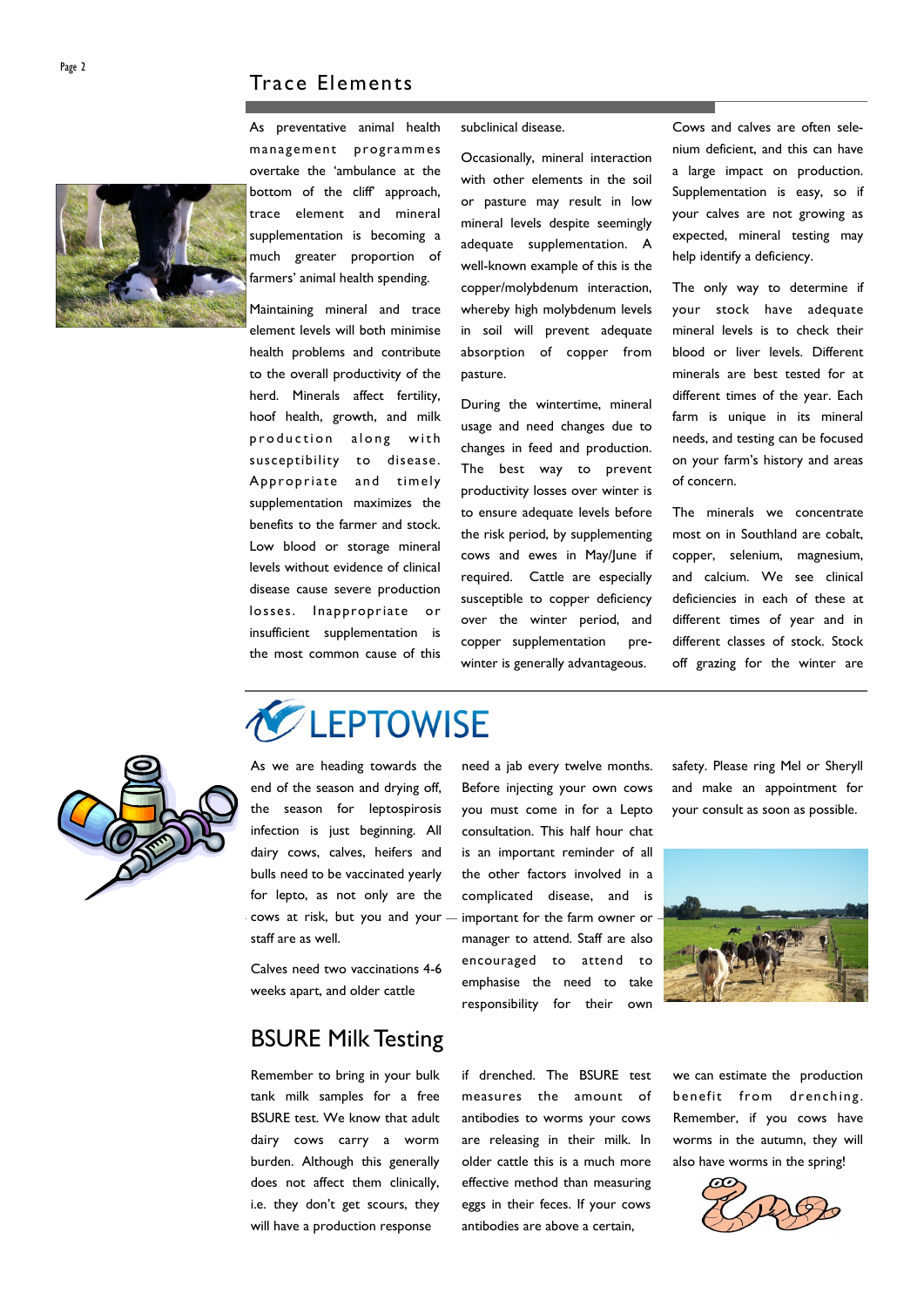

As preventative animal health management programmes overtake the 'ambulance at the bottom of the cliff' approach, trace element and mineral supplementation is becoming a much greater proportion of farmers' animal health spending.

Maintaining mineral and trace element levels will both minimise health problems and contribute to the overall productivity of the herd. Minerals affect fertility, hoof health, growth, and milk production along with susceptibility to disease. Appropriate and timely supplementation maximizes the benefits to the farmer and stock. Low blood or storage mineral levels without evidence of clinical disease cause severe production losses. Inappropriate or insufficient supplementation is the most common cause of this subclinical disease.

Occasionally, mineral interaction with other elements in the soil or pasture may result in low mineral levels despite seemingly adequate supplementation. A well-known example of this is the copper/molybdenum interaction, whereby high molybdenum levels in soil will prevent adequate absorption of copper from pasture.

During the wintertime, mineral usage and need changes due to changes in feed and production. The best way to prevent productivity losses over winter is to ensure adequate levels before the risk period, by supplementing cows and ewes in May/June if required. Cattle are especially susceptible to copper deficiency over the winter period, and copper supplementation prewinter is generally advantageous.

Cows and calves are often selenium deficient, and this can have a large impact on production. Supplementation is easy, so if your calves are not growing as expected, mineral testing may help identify a deficiency.

The only way to determine if your stock have adequate mineral levels is to check their blood or liver levels. Different minerals are best tested for at different times of the year. Each farm is unique in its mineral needs, and testing can be focused on your farm's history and areas of concern.

The minerals we concentrate most on in Southland are cobalt, copper, selenium, magnesium, and calcium. We see clinical deficiencies in each of these at different times of year and in different classes of stock. Stock off grazing for the winter are



staff are as well. As we are heading towards the end of the season and drying off, the season for leptospirosis infection is just beginning. All dairy cows, calves, heifers and bulls need to be vaccinated yearly for lepto, as not only are the cows at risk, but you and your

LEPTOWISE

Calves need two vaccinations 4-6 weeks apart, and older cattle

# BSURE Milk Testing

Remember to bring in your bulk tank milk samples for a free BSURE test. We know that adult dairy cows carry a worm burden. Although this generally does not affect them clinically, i.e. they don't get scours, they will have a production response

need a jab every twelve months. Before injecting your own cows you must come in for a Lepto consultation. This half hour chat is an important reminder of all the other factors involved in a complicated disease, and is important for the farm owner or manager to attend. Staff are also encouraged to attend to emphasise the need to take responsibility for their own

if drenched. The BSURE test measures the amount of antibodies to worms your cows are releasing in their milk. In older cattle this is a much more effective method than measuring eggs in their feces. If your cows antibodies are above a certain,

safety. Please ring Mel or Sheryll and make an appointment for your consult as soon as possible.



we can estimate the production benefit from drenching. Remember, if you cows have worms in the autumn, they will also have worms in the spring!

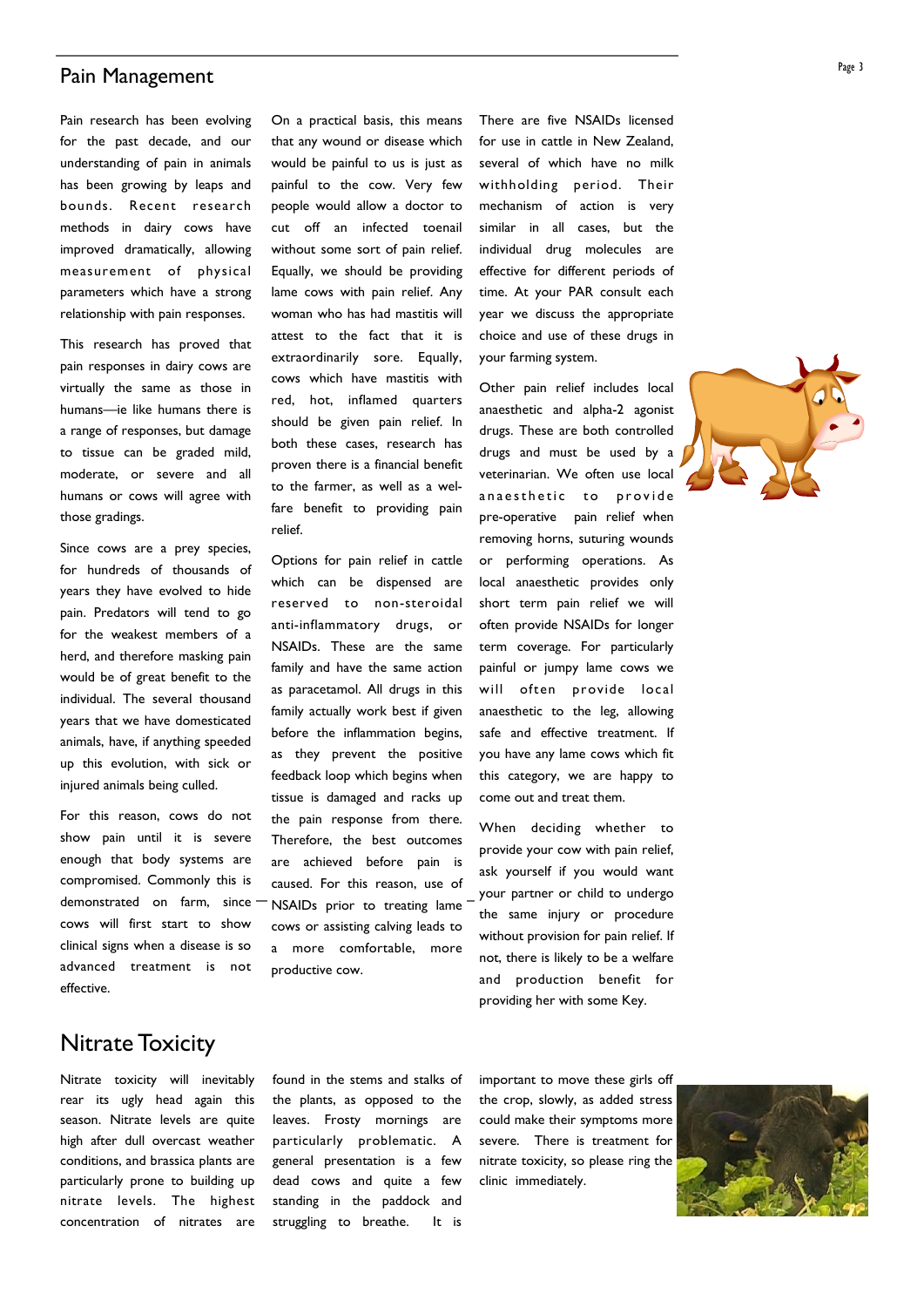### Pain Management

Pain research has been evolving for the past decade, and our understanding of pain in animals has been growing by leaps and bounds. Recent research methods in dairy cows have improved dramatically, allowing measurement of physical parameters which have a strong relationship with pain responses.

This research has proved that pain responses in dairy cows are virtually the same as those in humans—ie like humans there is a range of responses, but damage to tissue can be graded mild, moderate, or severe and all humans or cows will agree with those gradings.

Since cows are a prey species, for hundreds of thousands of years they have evolved to hide pain. Predators will tend to go for the weakest members of a herd, and therefore masking pain would be of great benefit to the individual. The several thousand years that we have domesticated animals, have, if anything speeded up this evolution, with sick or injured animals being culled.

For this reason, cows do not show pain until it is severe enough that body systems are compromised. Commonly this is demonstrated on farm, since<sup>-</sup> cows will first start to show clinical signs when a disease is so advanced treatment is not effective.

On a practical basis, this means that any wound or disease which would be painful to us is just as painful to the cow. Very few people would allow a doctor to cut off an infected toenail without some sort of pain relief. Equally, we should be providing lame cows with pain relief. Any woman who has had mastitis will attest to the fact that it is extraordinarily sore. Equally, cows which have mastitis with red, hot, inflamed quarters should be given pain relief. In both these cases, research has proven there is a financial benefit to the farmer, as well as a welfare benefit to providing pain relief.

Options for pain relief in cattle which can be dispensed are reserved to non-steroidal anti-inflammatory drugs, or NSAIDs. These are the same family and have the same action as paracetamol. All drugs in this family actually work best if given before the inflammation begins, as they prevent the positive feedback loop which begins when tissue is damaged and racks up the pain response from there. Therefore, the best outcomes are achieved before pain is caused. For this reason, use of NSAIDs prior to treating lame cows or assisting calving leads to a more comfortable, more productive cow.

There are five NSAIDs licensed for use in cattle in New Zealand, several of which have no milk withholding period. Their mechanism of action is very similar in all cases, but the individual drug molecules are effective for different periods of time. At your PAR consult each year we discuss the appropriate choice and use of these drugs in your farming system.

Other pain relief includes local anaesthetic and alpha-2 agonist drugs. These are both controlled drugs and must be used by a veterinarian. We often use local anaesthetic to provide pre-operative pain relief when removing horns, suturing wounds or performing operations. As local anaesthetic provides only short term pain relief we will often provide NSAIDs for longer term coverage. For particularly painful or jumpy lame cows we will often provide local anaesthetic to the leg, allowing safe and effective treatment. If you have any lame cows which fit this category, we are happy to come out and treat them.

When deciding whether to provide your cow with pain relief, ask yourself if you would want your partner or child to undergo the same injury or procedure without provision for pain relief. If not, there is likely to be a welfare and production benefit for providing her with some Key.



# Nitrate Toxicity

Nitrate toxicity will inevitably rear its ugly head again this season. Nitrate levels are quite high after dull overcast weather conditions, and brassica plants are particularly prone to building up nitrate levels. The highest concentration of nitrates are

found in the stems and stalks of the plants, as opposed to the leaves. Frosty mornings are particularly problematic. A general presentation is a few dead cows and quite a few standing in the paddock and struggling to breathe. It is

important to move these girls off the crop, slowly, as added stress could make their symptoms more severe. There is treatment for nitrate toxicity, so please ring the clinic immediately.